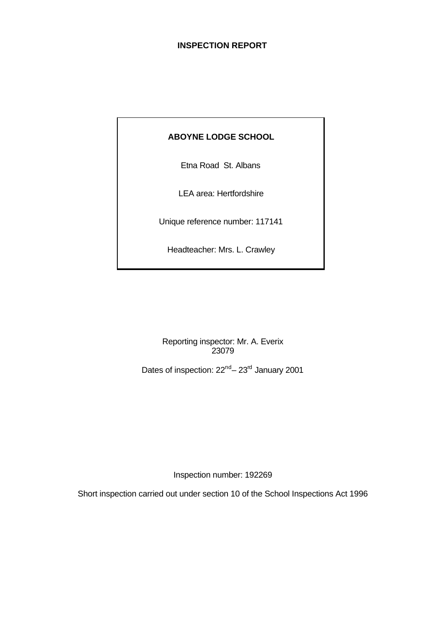## **INSPECTION REPORT**

## **ABOYNE LODGE SCHOOL**

Etna Road St. Albans

LEA area: Hertfordshire

Unique reference number: 117141

Headteacher: Mrs. L. Crawley

Reporting inspector: Mr. A. Everix 23079

Dates of inspection:  $22^{nd} - 23^{rd}$  January 2001

Inspection number: 192269

Short inspection carried out under section 10 of the School Inspections Act 1996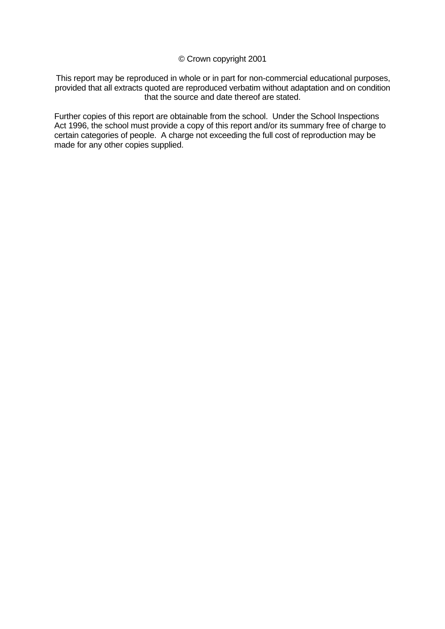#### © Crown copyright 2001

This report may be reproduced in whole or in part for non-commercial educational purposes, provided that all extracts quoted are reproduced verbatim without adaptation and on condition that the source and date thereof are stated.

Further copies of this report are obtainable from the school. Under the School Inspections Act 1996, the school must provide a copy of this report and/or its summary free of charge to certain categories of people. A charge not exceeding the full cost of reproduction may be made for any other copies supplied.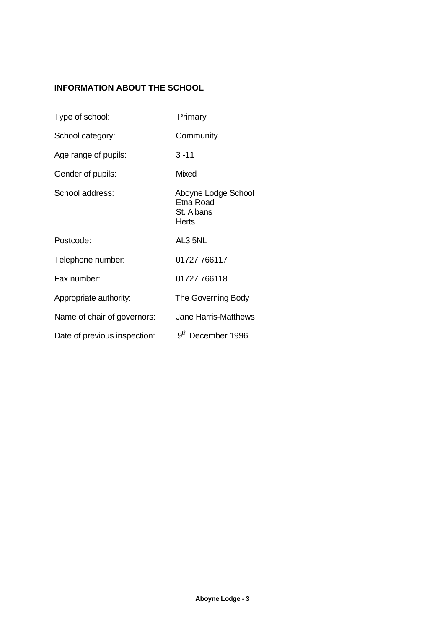# **INFORMATION ABOUT THE SCHOOL**

| Type of school:              | Primary                                                 |
|------------------------------|---------------------------------------------------------|
| School category:             | Community                                               |
| Age range of pupils:         | 3 -11                                                   |
| Gender of pupils:            | <b>Mixed</b>                                            |
| School address:              | Aboyne Lodge School<br>Etna Road<br>St. Albans<br>Herts |
| Postcode:                    | AL3 5NL                                                 |
| Telephone number:            | 01727 766117                                            |
| Fax number:                  | 01727 766118                                            |
| Appropriate authority:       | The Governing Body                                      |
| Name of chair of governors:  | <b>Jane Harris-Matthews</b>                             |
| Date of previous inspection: | 9 <sup>th</sup> December 1996                           |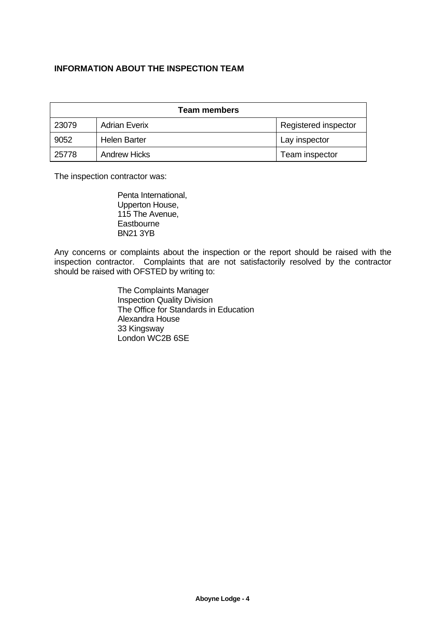## **INFORMATION ABOUT THE INSPECTION TEAM**

| <b>Team members</b> |                      |                      |  |
|---------------------|----------------------|----------------------|--|
| 23079               | <b>Adrian Everix</b> | Registered inspector |  |
| 9052                | <b>Helen Barter</b>  | Lay inspector        |  |
| 25778               | <b>Andrew Hicks</b>  | Team inspector       |  |

The inspection contractor was:

Penta International, Upperton House, 115 The Avenue, **Eastbourne** BN21 3YB

Any concerns or complaints about the inspection or the report should be raised with the inspection contractor. Complaints that are not satisfactorily resolved by the contractor should be raised with OFSTED by writing to:

> The Complaints Manager Inspection Quality Division The Office for Standards in Education Alexandra House 33 Kingsway London WC2B 6SE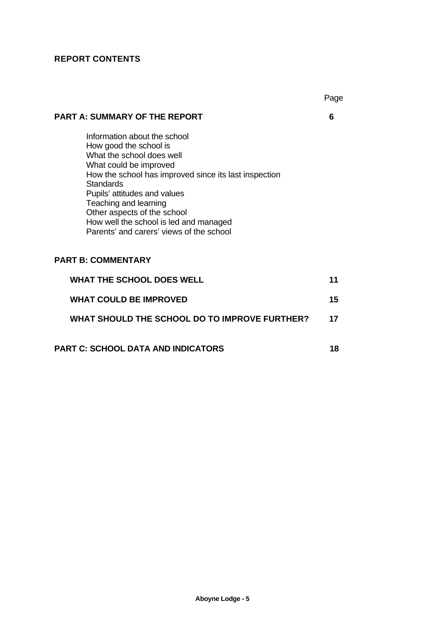# **REPORT CONTENTS**

|                                                                                                                                                                                                                                                                                                                                                                          | Page |
|--------------------------------------------------------------------------------------------------------------------------------------------------------------------------------------------------------------------------------------------------------------------------------------------------------------------------------------------------------------------------|------|
| <b>PART A: SUMMARY OF THE REPORT</b>                                                                                                                                                                                                                                                                                                                                     | 6    |
| Information about the school<br>How good the school is<br>What the school does well<br>What could be improved<br>How the school has improved since its last inspection<br><b>Standards</b><br>Pupils' attitudes and values<br>Teaching and learning<br>Other aspects of the school<br>How well the school is led and managed<br>Parents' and carers' views of the school |      |
| <b>PART B: COMMENTARY</b>                                                                                                                                                                                                                                                                                                                                                |      |
| <b>WHAT THE SCHOOL DOES WELL</b>                                                                                                                                                                                                                                                                                                                                         | 11   |
| <b>WHAT COULD BE IMPROVED</b>                                                                                                                                                                                                                                                                                                                                            | 15   |
| WHAT SHOULD THE SCHOOL DO TO IMPROVE FURTHER?                                                                                                                                                                                                                                                                                                                            | 17   |
| $\sim$                                                                                                                                                                                                                                                                                                                                                                   |      |

**PART C: SCHOOL DATA AND INDICATORS 18**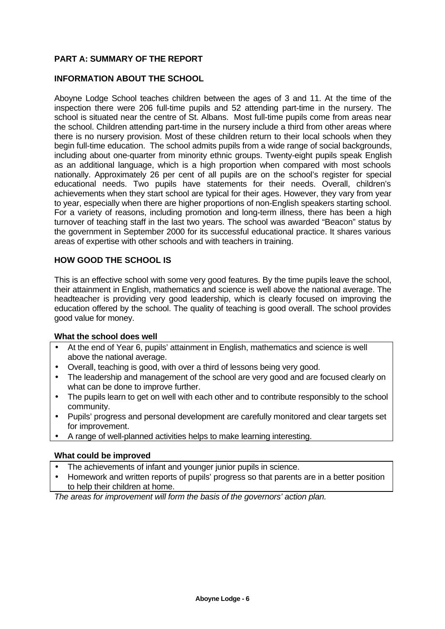## **PART A: SUMMARY OF THE REPORT**

#### **INFORMATION ABOUT THE SCHOOL**

Aboyne Lodge School teaches children between the ages of 3 and 11. At the time of the inspection there were 206 full-time pupils and 52 attending part-time in the nursery. The school is situated near the centre of St. Albans. Most full-time pupils come from areas near the school. Children attending part-time in the nursery include a third from other areas where there is no nursery provision. Most of these children return to their local schools when they begin full-time education. The school admits pupils from a wide range of social backgrounds, including about one-quarter from minority ethnic groups. Twenty-eight pupils speak English as an additional language, which is a high proportion when compared with most schools nationally. Approximately 26 per cent of all pupils are on the school's register for special educational needs. Two pupils have statements for their needs. Overall, children's achievements when they start school are typical for their ages. However, they vary from year to year, especially when there are higher proportions of non-English speakers starting school. For a variety of reasons, including promotion and long-term illness, there has been a high turnover of teaching staff in the last two years. The school was awarded "Beacon" status by the government in September 2000 for its successful educational practice. It shares various areas of expertise with other schools and with teachers in training.

#### **HOW GOOD THE SCHOOL IS**

This is an effective school with some very good features. By the time pupils leave the school, their attainment in English, mathematics and science is well above the national average. The headteacher is providing very good leadership, which is clearly focused on improving the education offered by the school. The quality of teaching is good overall. The school provides good value for money.

#### **What the school does well**

- At the end of Year 6, pupils' attainment in English, mathematics and science is well above the national average.
- Overall, teaching is good, with over a third of lessons being very good.
- The leadership and management of the school are very good and are focused clearly on what can be done to improve further.
- The pupils learn to get on well with each other and to contribute responsibly to the school community.
- Pupils' progress and personal development are carefully monitored and clear targets set for improvement.
- A range of well-planned activities helps to make learning interesting.

#### **What could be improved**

- The achievements of infant and younger junior pupils in science.
- Homework and written reports of pupils' progress so that parents are in a better position to help their children at home.

*The areas for improvement will form the basis of the governors' action plan.*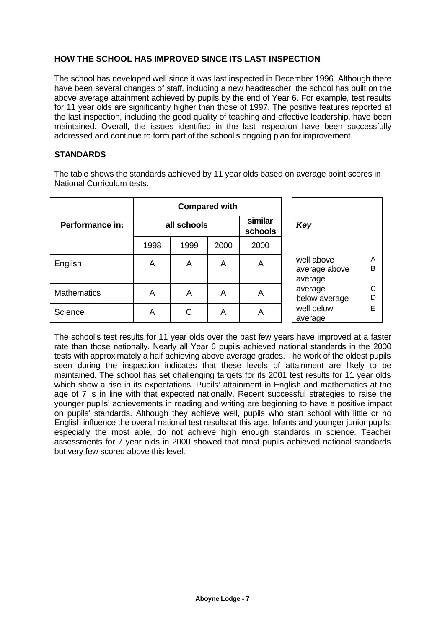## **HOW THE SCHOOL HAS IMPROVED SINCE ITS LAST INSPECTION**

The school has developed well since it was last inspected in December 1996. Although there have been several changes of staff, including a new headteacher, the school has built on the above average attainment achieved by pupils by the end of Year 6. For example, test results for 11 year olds are significantly higher than those of 1997. The positive features reported at the last inspection, including the good quality of teaching and effective leadership, have been maintained. Overall, the issues identified in the last inspection have been successfully addressed and continue to form part of the school's ongoing plan for improvement.

#### **STANDARDS**

The table shows the standards achieved by 11 year olds based on average point scores in National Curriculum tests.

|                    | <b>Compared with</b> |      |      |                    |                                                  |
|--------------------|----------------------|------|------|--------------------|--------------------------------------------------|
| Performance in:    | all schools          |      |      | similar<br>schools | Key                                              |
|                    | 1998                 | 1999 | 2000 | 2000               |                                                  |
| English            | A                    | A    | A    | A                  | well above<br>A<br>B<br>average above<br>average |
| <b>Mathematics</b> | A                    | A    | A    | A                  | C<br>average<br>$\mathsf D$<br>below average     |
| Science            | A                    | С    | A    | Α                  | E<br>well below<br>average                       |

The school's test results for 11 year olds over the past few years have improved at a faster rate than those nationally. Nearly all Year 6 pupils achieved national standards in the 2000 tests with approximately a half achieving above average grades. The work of the oldest pupils seen during the inspection indicates that these levels of attainment are likely to be maintained. The school has set challenging targets for its 2001 test results for 11 year olds which show a rise in its expectations. Pupils' attainment in English and mathematics at the age of 7 is in line with that expected nationally. Recent successful strategies to raise the younger pupils' achievements in reading and writing are beginning to have a positive impact on pupils' standards. Although they achieve well, pupils who start school with little or no English influence the overall national test results at this age. Infants and younger junior pupils, especially the most able, do not achieve high enough standards in science. Teacher assessments for 7 year olds in 2000 showed that most pupils achieved national standards but very few scored above this level.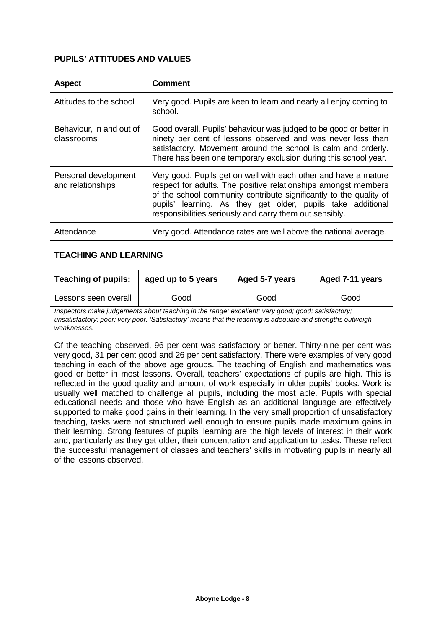### **PUPILS' ATTITUDES AND VALUES**

| <b>Aspect</b>                             | <b>Comment</b>                                                                                                                                                                                                                                                                                                                    |
|-------------------------------------------|-----------------------------------------------------------------------------------------------------------------------------------------------------------------------------------------------------------------------------------------------------------------------------------------------------------------------------------|
| Attitudes to the school                   | Very good. Pupils are keen to learn and nearly all enjoy coming to<br>school.                                                                                                                                                                                                                                                     |
| Behaviour, in and out of<br>classrooms    | Good overall. Pupils' behaviour was judged to be good or better in<br>ninety per cent of lessons observed and was never less than<br>satisfactory. Movement around the school is calm and orderly.<br>There has been one temporary exclusion during this school year.                                                             |
| Personal development<br>and relationships | Very good. Pupils get on well with each other and have a mature<br>respect for adults. The positive relationships amongst members<br>of the school community contribute significantly to the quality of<br>pupils' learning. As they get older, pupils take additional<br>responsibilities seriously and carry them out sensibly. |
| Attendance                                | Very good. Attendance rates are well above the national average.                                                                                                                                                                                                                                                                  |

#### **TEACHING AND LEARNING**

| <b>Teaching of pupils:</b><br>aged up to 5 years |      | Aged 5-7 years | Aged 7-11 years |  |
|--------------------------------------------------|------|----------------|-----------------|--|
| Lessons seen overall                             | Good | Good           | Good            |  |

*Inspectors make judgements about teaching in the range: excellent; very good; good; satisfactory; unsatisfactory; poor; very poor. 'Satisfactory' means that the teaching is adequate and strengths outweigh weaknesses.*

Of the teaching observed, 96 per cent was satisfactory or better. Thirty-nine per cent was very good, 31 per cent good and 26 per cent satisfactory. There were examples of very good teaching in each of the above age groups. The teaching of English and mathematics was good or better in most lessons. Overall, teachers' expectations of pupils are high. This is reflected in the good quality and amount of work especially in older pupils' books. Work is usually well matched to challenge all pupils, including the most able. Pupils with special educational needs and those who have English as an additional language are effectively supported to make good gains in their learning. In the very small proportion of unsatisfactory teaching, tasks were not structured well enough to ensure pupils made maximum gains in their learning. Strong features of pupils' learning are the high levels of interest in their work and, particularly as they get older, their concentration and application to tasks. These reflect the successful management of classes and teachers' skills in motivating pupils in nearly all of the lessons observed.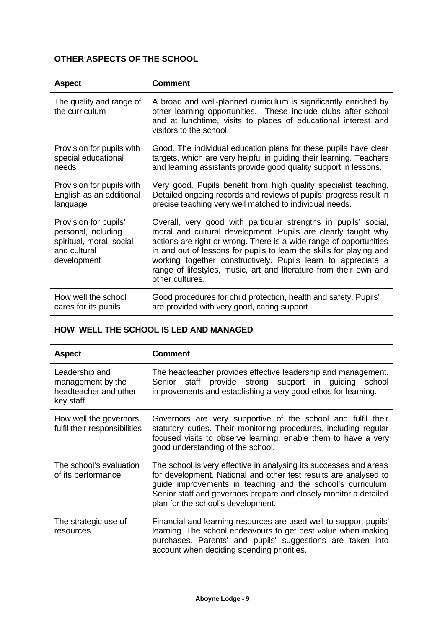# **OTHER ASPECTS OF THE SCHOOL**

| <b>Aspect</b>                                                                                           | <b>Comment</b>                                                                                                                                                                                                                                                                                                                                                                                                                          |
|---------------------------------------------------------------------------------------------------------|-----------------------------------------------------------------------------------------------------------------------------------------------------------------------------------------------------------------------------------------------------------------------------------------------------------------------------------------------------------------------------------------------------------------------------------------|
| The quality and range of<br>the curriculum                                                              | A broad and well-planned curriculum is significantly enriched by<br>other learning opportunities. These include clubs after school<br>and at lunchtime, visits to places of educational interest and<br>visitors to the school.                                                                                                                                                                                                         |
| Provision for pupils with                                                                               | Good. The individual education plans for these pupils have clear                                                                                                                                                                                                                                                                                                                                                                        |
| special educational                                                                                     | targets, which are very helpful in guiding their learning. Teachers                                                                                                                                                                                                                                                                                                                                                                     |
| needs                                                                                                   | and learning assistants provide good quality support in lessons.                                                                                                                                                                                                                                                                                                                                                                        |
| Provision for pupils with                                                                               | Very good. Pupils benefit from high quality specialist teaching.                                                                                                                                                                                                                                                                                                                                                                        |
| English as an additional                                                                                | Detailed ongoing records and reviews of pupils' progress result in                                                                                                                                                                                                                                                                                                                                                                      |
| language                                                                                                | precise teaching very well matched to individual needs.                                                                                                                                                                                                                                                                                                                                                                                 |
| Provision for pupils'<br>personal, including<br>spiritual, moral, social<br>and cultural<br>development | Overall, very good with particular strengths in pupils' social,<br>moral and cultural development. Pupils are clearly taught why<br>actions are right or wrong. There is a wide range of opportunities<br>in and out of lessons for pupils to learn the skills for playing and<br>working together constructively. Pupils learn to appreciate a<br>range of lifestyles, music, art and literature from their own and<br>other cultures. |
| How well the school                                                                                     | Good procedures for child protection, health and safety. Pupils'                                                                                                                                                                                                                                                                                                                                                                        |
| cares for its pupils                                                                                    | are provided with very good, caring support.                                                                                                                                                                                                                                                                                                                                                                                            |

## **HOW WELL THE SCHOOL IS LED AND MANAGED**

| <b>Aspect</b>                                                             | <b>Comment</b>                                                                                                                                                                                                                                                                                                  |
|---------------------------------------------------------------------------|-----------------------------------------------------------------------------------------------------------------------------------------------------------------------------------------------------------------------------------------------------------------------------------------------------------------|
| Leadership and<br>management by the<br>headteacher and other<br>key staff | The headteacher provides effective leadership and management.<br>Senior staff provide strong support in guiding school<br>improvements and establishing a very good ethos for learning.                                                                                                                         |
| How well the governors<br>fulfil their responsibilities                   | Governors are very supportive of the school and fulfil their<br>statutory duties. Their monitoring procedures, including regular<br>focused visits to observe learning, enable them to have a very<br>good understanding of the school.                                                                         |
| The school's evaluation<br>of its performance                             | The school is very effective in analysing its successes and areas<br>for development. National and other test results are analysed to<br>guide improvements in teaching and the school's curriculum.<br>Senior staff and governors prepare and closely monitor a detailed<br>plan for the school's development. |
| The strategic use of<br>resources                                         | Financial and learning resources are used well to support pupils'<br>learning. The school endeavours to get best value when making<br>purchases. Parents' and pupils' suggestions are taken into<br>account when deciding spending priorities.                                                                  |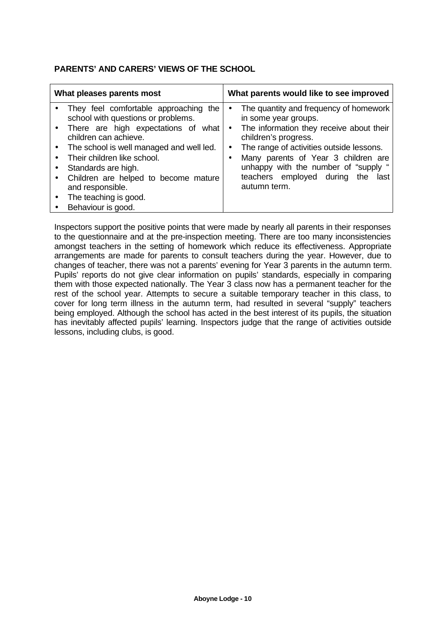### **PARENTS' AND CARERS' VIEWS OF THE SCHOOL**

| What pleases parents most                                                                                                                                                                                                                                                                                                                                  | What parents would like to see improved                                                                                                                                                                                                                                                                                                                      |  |  |  |
|------------------------------------------------------------------------------------------------------------------------------------------------------------------------------------------------------------------------------------------------------------------------------------------------------------------------------------------------------------|--------------------------------------------------------------------------------------------------------------------------------------------------------------------------------------------------------------------------------------------------------------------------------------------------------------------------------------------------------------|--|--|--|
| They feel comfortable approaching the<br>school with questions or problems.<br>• There are high expectations of what<br>children can achieve.<br>The school is well managed and well led.<br>Their children like school.<br>Standards are high.<br>Children are helped to become mature<br>and responsible.<br>The teaching is good.<br>Behaviour is good. | The quantity and frequency of homework<br>$\bullet$<br>in some year groups.<br>The information they receive about their<br>$\bullet$<br>children's progress.<br>The range of activities outside lessons.<br>$\bullet$<br>Many parents of Year 3 children are<br>unhappy with the number of "supply "<br>teachers employed during the<br>last<br>autumn term. |  |  |  |

Inspectors support the positive points that were made by nearly all parents in their responses to the questionnaire and at the pre-inspection meeting. There are too many inconsistencies amongst teachers in the setting of homework which reduce its effectiveness. Appropriate arrangements are made for parents to consult teachers during the year. However, due to changes of teacher, there was not a parents' evening for Year 3 parents in the autumn term. Pupils' reports do not give clear information on pupils' standards, especially in comparing them with those expected nationally. The Year 3 class now has a permanent teacher for the rest of the school year. Attempts to secure a suitable temporary teacher in this class, to cover for long term illness in the autumn term, had resulted in several "supply" teachers being employed. Although the school has acted in the best interest of its pupils, the situation has inevitably affected pupils' learning. Inspectors judge that the range of activities outside lessons, including clubs, is good.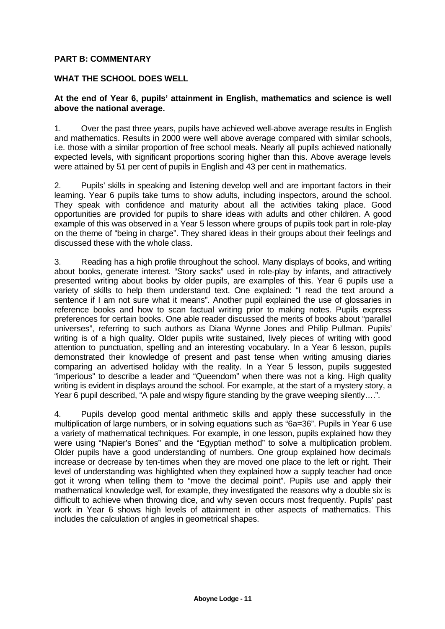#### **PART B: COMMENTARY**

#### **WHAT THE SCHOOL DOES WELL**

#### **At the end of Year 6, pupils' attainment in English, mathematics and science is well above the national average.**

1. Over the past three years, pupils have achieved well-above average results in English and mathematics. Results in 2000 were well above average compared with similar schools, i.e. those with a similar proportion of free school meals. Nearly all pupils achieved nationally expected levels, with significant proportions scoring higher than this. Above average levels were attained by 51 per cent of pupils in English and 43 per cent in mathematics.

2. Pupils' skills in speaking and listening develop well and are important factors in their learning. Year 6 pupils take turns to show adults, including inspectors, around the school. They speak with confidence and maturity about all the activities taking place. Good opportunities are provided for pupils to share ideas with adults and other children. A good example of this was observed in a Year 5 lesson where groups of pupils took part in role-play on the theme of "being in charge". They shared ideas in their groups about their feelings and discussed these with the whole class.

3. Reading has a high profile throughout the school. Many displays of books, and writing about books, generate interest. "Story sacks" used in role-play by infants, and attractively presented writing about books by older pupils, are examples of this. Year 6 pupils use a variety of skills to help them understand text. One explained: "I read the text around a sentence if I am not sure what it means". Another pupil explained the use of glossaries in reference books and how to scan factual writing prior to making notes. Pupils express preferences for certain books. One able reader discussed the merits of books about "parallel universes", referring to such authors as Diana Wynne Jones and Philip Pullman. Pupils' writing is of a high quality. Older pupils write sustained, lively pieces of writing with good attention to punctuation, spelling and an interesting vocabulary. In a Year 6 lesson, pupils demonstrated their knowledge of present and past tense when writing amusing diaries comparing an advertised holiday with the reality. In a Year 5 lesson, pupils suggested "imperious" to describe a leader and "Queendom" when there was not a king. High quality writing is evident in displays around the school. For example, at the start of a mystery story, a Year 6 pupil described, "A pale and wispy figure standing by the grave weeping silently….".

4. Pupils develop good mental arithmetic skills and apply these successfully in the multiplication of large numbers, or in solving equations such as "6a=36". Pupils in Year 6 use a variety of mathematical techniques. For example, in one lesson, pupils explained how they were using "Napier's Bones" and the "Egyptian method" to solve a multiplication problem. Older pupils have a good understanding of numbers. One group explained how decimals increase or decrease by ten-times when they are moved one place to the left or right. Their level of understanding was highlighted when they explained how a supply teacher had once got it wrong when telling them to "move the decimal point". Pupils use and apply their mathematical knowledge well, for example, they investigated the reasons why a double six is difficult to achieve when throwing dice, and why seven occurs most frequently. Pupils' past work in Year 6 shows high levels of attainment in other aspects of mathematics. This includes the calculation of angles in geometrical shapes.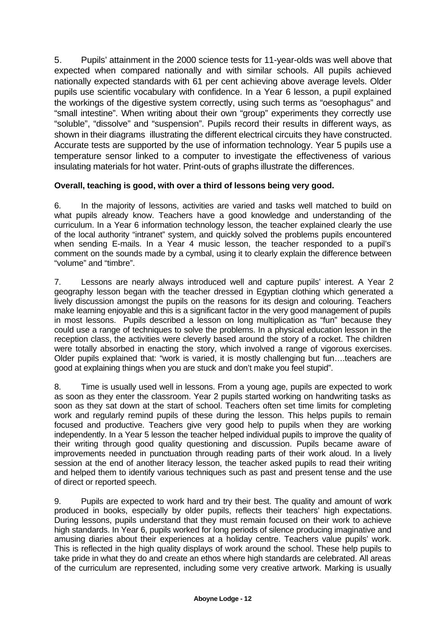5. Pupils' attainment in the 2000 science tests for 11-year-olds was well above that expected when compared nationally and with similar schools. All pupils achieved nationally expected standards with 61 per cent achieving above average levels. Older pupils use scientific vocabulary with confidence. In a Year 6 lesson, a pupil explained the workings of the digestive system correctly, using such terms as "oesophagus" and "small intestine". When writing about their own "group" experiments they correctly use "soluble", "dissolve" and "suspension". Pupils record their results in different ways, as shown in their diagrams illustrating the different electrical circuits they have constructed. Accurate tests are supported by the use of information technology. Year 5 pupils use a temperature sensor linked to a computer to investigate the effectiveness of various insulating materials for hot water. Print-outs of graphs illustrate the differences.

## **Overall, teaching is good, with over a third of lessons being very good.**

6. In the majority of lessons, activities are varied and tasks well matched to build on what pupils already know. Teachers have a good knowledge and understanding of the curriculum. In a Year 6 information technology lesson, the teacher explained clearly the use of the local authority "intranet" system, and quickly solved the problems pupils encountered when sending E-mails. In a Year 4 music lesson, the teacher responded to a pupil's comment on the sounds made by a cymbal, using it to clearly explain the difference between "volume" and "timbre".

7. Lessons are nearly always introduced well and capture pupils' interest. A Year 2 geography lesson began with the teacher dressed in Egyptian clothing which generated a lively discussion amongst the pupils on the reasons for its design and colouring. Teachers make learning enjoyable and this is a significant factor in the very good management of pupils in most lessons. Pupils described a lesson on long multiplication as "fun" because they could use a range of techniques to solve the problems. In a physical education lesson in the reception class, the activities were cleverly based around the story of a rocket. The children were totally absorbed in enacting the story, which involved a range of vigorous exercises. Older pupils explained that: "work is varied, it is mostly challenging but fun….teachers are good at explaining things when you are stuck and don't make you feel stupid".

8. Time is usually used well in lessons. From a young age, pupils are expected to work as soon as they enter the classroom. Year 2 pupils started working on handwriting tasks as soon as they sat down at the start of school. Teachers often set time limits for completing work and regularly remind pupils of these during the lesson. This helps pupils to remain focused and productive. Teachers give very good help to pupils when they are working independently. In a Year 5 lesson the teacher helped individual pupils to improve the quality of their writing through good quality questioning and discussion. Pupils became aware of improvements needed in punctuation through reading parts of their work aloud. In a lively session at the end of another literacy lesson, the teacher asked pupils to read their writing and helped them to identify various techniques such as past and present tense and the use of direct or reported speech.

9. Pupils are expected to work hard and try their best. The quality and amount of work produced in books, especially by older pupils, reflects their teachers' high expectations. During lessons, pupils understand that they must remain focused on their work to achieve high standards. In Year 6, pupils worked for long periods of silence producing imaginative and amusing diaries about their experiences at a holiday centre. Teachers value pupils' work. This is reflected in the high quality displays of work around the school. These help pupils to take pride in what they do and create an ethos where high standards are celebrated. All areas of the curriculum are represented, including some very creative artwork. Marking is usually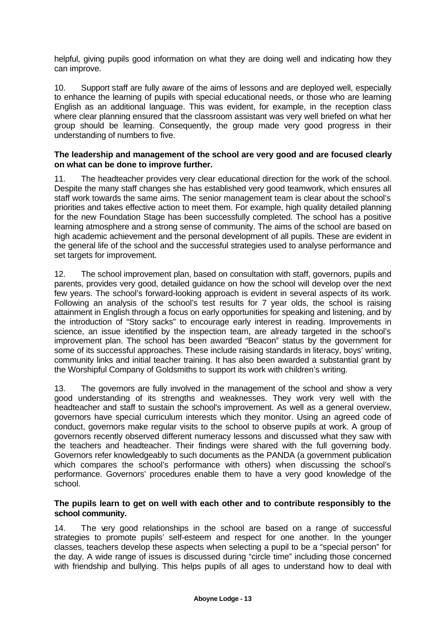helpful, giving pupils good information on what they are doing well and indicating how they can improve.

10. Support staff are fully aware of the aims of lessons and are deployed well, especially to enhance the learning of pupils with special educational needs, or those who are learning English as an additional language. This was evident, for example, in the reception class where clear planning ensured that the classroom assistant was very well briefed on what her group should be learning. Consequently, the group made very good progress in their understanding of numbers to five.

#### **The leadership and management of the school are very good and are focused clearly on what can be done to improve further.**

11. The headteacher provides very clear educational direction for the work of the school. Despite the many staff changes she has established very good teamwork, which ensures all staff work towards the same aims. The senior management team is clear about the school's priorities and takes effective action to meet them. For example, high quality detailed planning for the new Foundation Stage has been successfully completed. The school has a positive learning atmosphere and a strong sense of community. The aims of the school are based on high academic achievement and the personal development of all pupils. These are evident in the general life of the school and the successful strategies used to analyse performance and set targets for improvement.

12. The school improvement plan, based on consultation with staff, governors, pupils and parents, provides very good, detailed guidance on how the school will develop over the next few years. The school's forward-looking approach is evident in several aspects of its work. Following an analysis of the school's test results for 7 year olds, the school is raising attainment in English through a focus on early opportunities for speaking and listening, and by the introduction of "Story sacks" to encourage early interest in reading. Improvements in science, an issue identified by the inspection team, are already targeted in the school's improvement plan. The school has been awarded "Beacon" status by the government for some of its successful approaches. These include raising standards in literacy, boys' writing, community links and initial teacher training. It has also been awarded a substantial grant by the Worshipful Company of Goldsmiths to support its work with children's writing.

13. The governors are fully involved in the management of the school and show a very good understanding of its strengths and weaknesses. They work very well with the headteacher and staff to sustain the school's improvement. As well as a general overview, governors have special curriculum interests which they monitor. Using an agreed code of conduct, governors make regular visits to the school to observe pupils at work. A group of governors recently observed different numeracy lessons and discussed what they saw with the teachers and headteacher. Their findings were shared with the full governing body. Governors refer knowledgeably to such documents as the PANDA (a government publication which compares the school's performance with others) when discussing the school's performance. Governors' procedures enable them to have a very good knowledge of the school.

#### **The pupils learn to get on well with each other and to contribute responsibly to the school community.**

14. The very good relationships in the school are based on a range of successful strategies to promote pupils' self-esteem and respect for one another. In the younger classes, teachers develop these aspects when selecting a pupil to be a "special person" for the day. A wide range of issues is discussed during "circle time" including those concerned with friendship and bullying. This helps pupils of all ages to understand how to deal with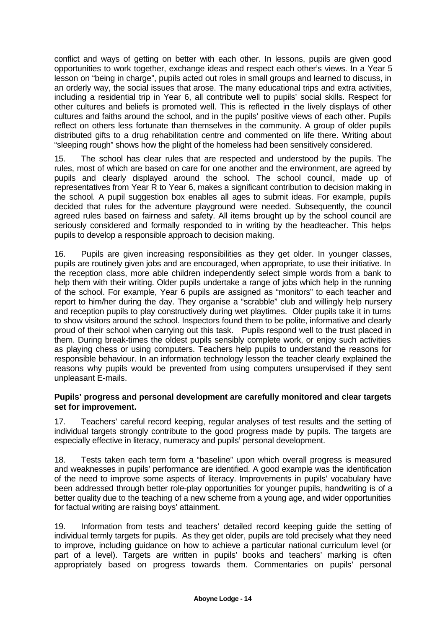conflict and ways of getting on better with each other. In lessons, pupils are given good opportunities to work together, exchange ideas and respect each other's views. In a Year 5 lesson on "being in charge", pupils acted out roles in small groups and learned to discuss, in an orderly way, the social issues that arose. The many educational trips and extra activities, including a residential trip in Year 6, all contribute well to pupils' social skills. Respect for other cultures and beliefs is promoted well. This is reflected in the lively displays of other cultures and faiths around the school, and in the pupils' positive views of each other. Pupils reflect on others less fortunate than themselves in the community. A group of older pupils distributed gifts to a drug rehabilitation centre and commented on life there. Writing about "sleeping rough" shows how the plight of the homeless had been sensitively considered.

15. The school has clear rules that are respected and understood by the pupils. The rules, most of which are based on care for one another and the environment, are agreed by pupils and clearly displayed around the school. The school council, made up of representatives from Year R to Year 6, makes a significant contribution to decision making in the school. A pupil suggestion box enables all ages to submit ideas. For example, pupils decided that rules for the adventure playground were needed. Subsequently, the council agreed rules based on fairness and safety. All items brought up by the school council are seriously considered and formally responded to in writing by the headteacher. This helps pupils to develop a responsible approach to decision making.

16. Pupils are given increasing responsibilities as they get older. In younger classes, pupils are routinely given jobs and are encouraged, when appropriate, to use their initiative. In the reception class, more able children independently select simple words from a bank to help them with their writing. Older pupils undertake a range of jobs which help in the running of the school. For example, Year 6 pupils are assigned as "monitors" to each teacher and report to him/her during the day. They organise a "scrabble" club and willingly help nursery and reception pupils to play constructively during wet playtimes. Older pupils take it in turns to show visitors around the school. Inspectors found them to be polite, informative and clearly proud of their school when carrying out this task. Pupils respond well to the trust placed in them. During break-times the oldest pupils sensibly complete work, or enjoy such activities as playing chess or using computers. Teachers help pupils to understand the reasons for responsible behaviour. In an information technology lesson the teacher clearly explained the reasons why pupils would be prevented from using computers unsupervised if they sent unpleasant E-mails.

#### **Pupils' progress and personal development are carefully monitored and clear targets set for improvement.**

17. Teachers' careful record keeping, regular analyses of test results and the setting of individual targets strongly contribute to the good progress made by pupils. The targets are especially effective in literacy, numeracy and pupils' personal development.

18. Tests taken each term form a "baseline" upon which overall progress is measured and weaknesses in pupils' performance are identified. A good example was the identification of the need to improve some aspects of literacy. Improvements in pupils' vocabulary have been addressed through better role-play opportunities for younger pupils, handwriting is of a better quality due to the teaching of a new scheme from a young age, and wider opportunities for factual writing are raising boys' attainment.

19. Information from tests and teachers' detailed record keeping guide the setting of individual termly targets for pupils. As they get older, pupils are told precisely what they need to improve, including guidance on how to achieve a particular national curriculum level (or part of a level). Targets are written in pupils' books and teachers' marking is often appropriately based on progress towards them. Commentaries on pupils' personal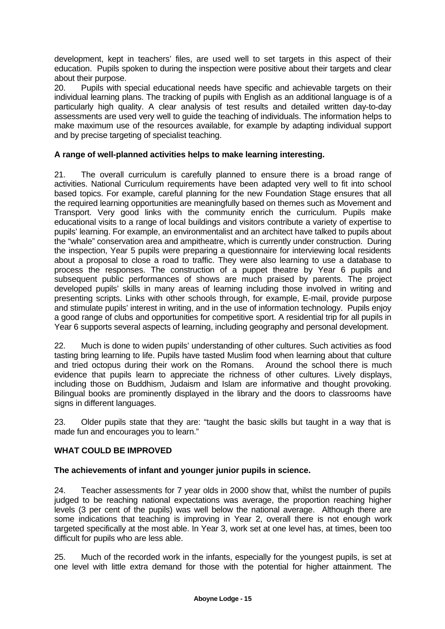development, kept in teachers' files, are used well to set targets in this aspect of their education. Pupils spoken to during the inspection were positive about their targets and clear about their purpose.

20. Pupils with special educational needs have specific and achievable targets on their individual learning plans. The tracking of pupils with English as an additional language is of a particularly high quality. A clear analysis of test results and detailed written day-to-day assessments are used very well to guide the teaching of individuals. The information helps to make maximum use of the resources available, for example by adapting individual support and by precise targeting of specialist teaching.

## **A range of well-planned activities helps to make learning interesting.**

21. The overall curriculum is carefully planned to ensure there is a broad range of activities. National Curriculum requirements have been adapted very well to fit into school based topics. For example, careful planning for the new Foundation Stage ensures that all the required learning opportunities are meaningfully based on themes such as Movement and Transport. Very good links with the community enrich the curriculum. Pupils make educational visits to a range of local buildings and visitors contribute a variety of expertise to pupils' learning. For example, an environmentalist and an architect have talked to pupils about the "whale" conservation area and ampitheatre, which is currently under construction. During the inspection, Year 5 pupils were preparing a questionnaire for interviewing local residents about a proposal to close a road to traffic. They were also learning to use a database to process the responses. The construction of a puppet theatre by Year 6 pupils and subsequent public performances of shows are much praised by parents. The project developed pupils' skills in many areas of learning including those involved in writing and presenting scripts. Links with other schools through, for example, E-mail, provide purpose and stimulate pupils' interest in writing, and in the use of information technology. Pupils enjoy a good range of clubs and opportunities for competitive sport. A residential trip for all pupils in Year 6 supports several aspects of learning, including geography and personal development.

22. Much is done to widen pupils' understanding of other cultures. Such activities as food tasting bring learning to life. Pupils have tasted Muslim food when learning about that culture and tried octopus during their work on the Romans. Around the school there is much evidence that pupils learn to appreciate the richness of other cultures. Lively displays, including those on Buddhism, Judaism and Islam are informative and thought provoking. Bilingual books are prominently displayed in the library and the doors to classrooms have signs in different languages.

23. Older pupils state that they are: "taught the basic skills but taught in a way that is made fun and encourages you to learn."

## **WHAT COULD BE IMPROVED**

#### **The achievements of infant and younger junior pupils in science.**

24. Teacher assessments for 7 year olds in 2000 show that, whilst the number of pupils judged to be reaching national expectations was average, the proportion reaching higher levels (3 per cent of the pupils) was well below the national average. Although there are some indications that teaching is improving in Year 2, overall there is not enough work targeted specifically at the most able. In Year 3, work set at one level has, at times, been too difficult for pupils who are less able.

25. Much of the recorded work in the infants, especially for the youngest pupils, is set at one level with little extra demand for those with the potential for higher attainment. The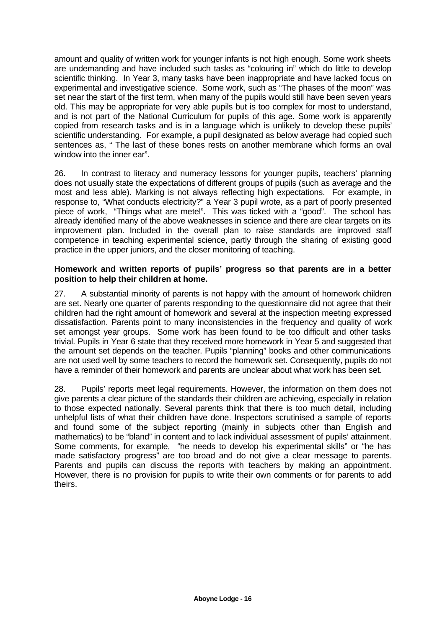amount and quality of written work for younger infants is not high enough. Some work sheets are undemanding and have included such tasks as "colouring in" which do little to develop scientific thinking. In Year 3, many tasks have been inappropriate and have lacked focus on experimental and investigative science. Some work, such as "The phases of the moon" was set near the start of the first term, when many of the pupils would still have been seven years old. This may be appropriate for very able pupils but is too complex for most to understand, and is not part of the National Curriculum for pupils of this age. Some work is apparently copied from research tasks and is in a language which is unlikely to develop these pupils' scientific understanding. For example, a pupil designated as below average had copied such sentences as, " The last of these bones rests on another membrane which forms an oval window into the inner ear".

26. In contrast to literacy and numeracy lessons for younger pupils, teachers' planning does not usually state the expectations of different groups of pupils (such as average and the most and less able). Marking is not always reflecting high expectations. For example, in response to, "What conducts electricity?" a Year 3 pupil wrote, as a part of poorly presented piece of work, "Things what are metel". This was ticked with a "good". The school has already identified many of the above weaknesses in science and there are clear targets on its improvement plan. Included in the overall plan to raise standards are improved staff competence in teaching experimental science, partly through the sharing of existing good practice in the upper juniors, and the closer monitoring of teaching.

#### **Homework and written reports of pupils' progress so that parents are in a better position to help their children at home.**

27. A substantial minority of parents is not happy with the amount of homework children are set. Nearly one quarter of parents responding to the questionnaire did not agree that their children had the right amount of homework and several at the inspection meeting expressed dissatisfaction. Parents point to many inconsistencies in the frequency and quality of work set amongst year groups. Some work has been found to be too difficult and other tasks trivial. Pupils in Year 6 state that they received more homework in Year 5 and suggested that the amount set depends on the teacher. Pupils "planning" books and other communications are not used well by some teachers to record the homework set. Consequently, pupils do not have a reminder of their homework and parents are unclear about what work has been set.

28. Pupils' reports meet legal requirements. However, the information on them does not give parents a clear picture of the standards their children are achieving, especially in relation to those expected nationally. Several parents think that there is too much detail, including unhelpful lists of what their children have done. Inspectors scrutinised a sample of reports and found some of the subject reporting (mainly in subjects other than English and mathematics) to be "bland" in content and to lack individual assessment of pupils' attainment. Some comments, for example, "he needs to develop his experimental skills" or "he has made satisfactory progress" are too broad and do not give a clear message to parents. Parents and pupils can discuss the reports with teachers by making an appointment. However, there is no provision for pupils to write their own comments or for parents to add theirs.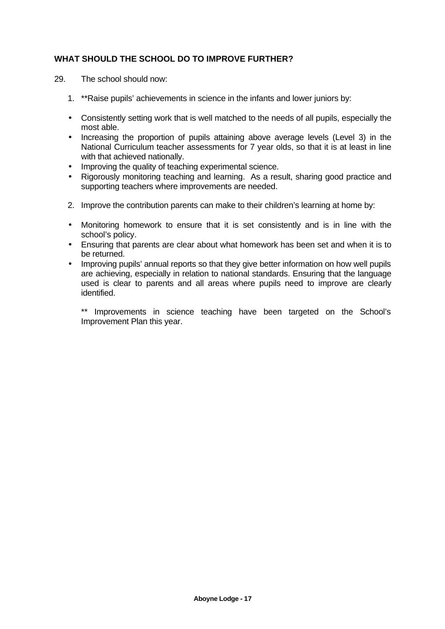## **WHAT SHOULD THE SCHOOL DO TO IMPROVE FURTHER?**

- 29. The school should now:
	- 1. \*\*Raise pupils' achievements in science in the infants and lower juniors by:
	- Consistently setting work that is well matched to the needs of all pupils, especially the most able.
	- Increasing the proportion of pupils attaining above average levels (Level 3) in the National Curriculum teacher assessments for 7 year olds, so that it is at least in line with that achieved nationally.
	- Improving the quality of teaching experimental science.
	- Rigorously monitoring teaching and learning. As a result, sharing good practice and supporting teachers where improvements are needed.
	- 2. Improve the contribution parents can make to their children's learning at home by:
	- Monitoring homework to ensure that it is set consistently and is in line with the school's policy.
	- Ensuring that parents are clear about what homework has been set and when it is to be returned.
	- Improving pupils' annual reports so that they give better information on how well pupils are achieving, especially in relation to national standards. Ensuring that the language used is clear to parents and all areas where pupils need to improve are clearly identified.

\*\* Improvements in science teaching have been targeted on the School's Improvement Plan this year.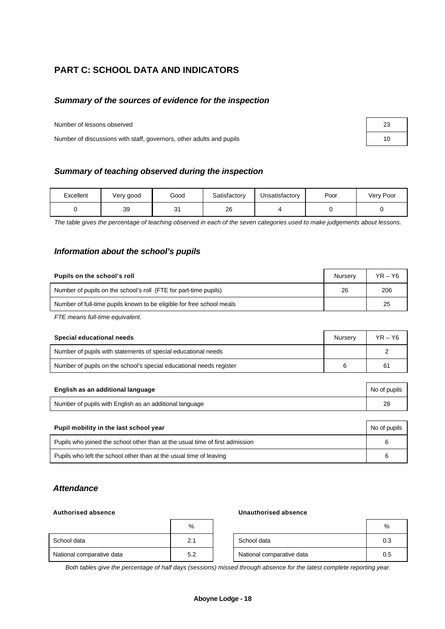# **PART C: SCHOOL DATA AND INDICATORS**

#### *Summary of the sources of evidence for the inspection*

Number of lessons observed 23

Number of discussions with staff, governors, other adults and pupils 10

| Excellent | Very good | Good     | Satisfactory | Jnsatisfactory | Poor | Very Poor |
|-----------|-----------|----------|--------------|----------------|------|-----------|
|           | 39        | 21<br>ັບ | 26           |                |      |           |

*The table gives the percentage of teaching observed in each of the seven categories used to make judgements about lessons.*

#### *Information about the school's pupils*

| Pupils on the school's roll                                           | Nurserv | $YR - Y6$ |
|-----------------------------------------------------------------------|---------|-----------|
| Number of pupils on the school's roll (FTE for part-time pupils)      | 26      | 206       |
| Number of full-time pupils known to be eligible for free school meals |         | 25        |

*FTE means full-time equivalent.*

| Special educational needs                                           | Nurserv | $YR - Y6$ |
|---------------------------------------------------------------------|---------|-----------|
| Number of pupils with statements of special educational needs       |         |           |
| Number of pupils on the school's special educational needs register |         | 61        |

| English as an additional language                       | No of pupils |
|---------------------------------------------------------|--------------|
| Number of pupils with English as an additional language |              |

| Pupil mobility in the last school year                                       |  |  |  |  |
|------------------------------------------------------------------------------|--|--|--|--|
| Pupils who joined the school other than at the usual time of first admission |  |  |  |  |
| Pupils who left the school other than at the usual time of leaving           |  |  |  |  |

#### *Attendance*

#### **Authorised absence Unauthorised absence**

|                           | %   |                           | %   |
|---------------------------|-----|---------------------------|-----|
| School data               | 2.1 | School data               | 0.3 |
| National comparative data | 5.2 | National comparative data | 0.5 |

*Both tables give the percentage of half days (sessions) missed through absence for the latest complete reporting year.*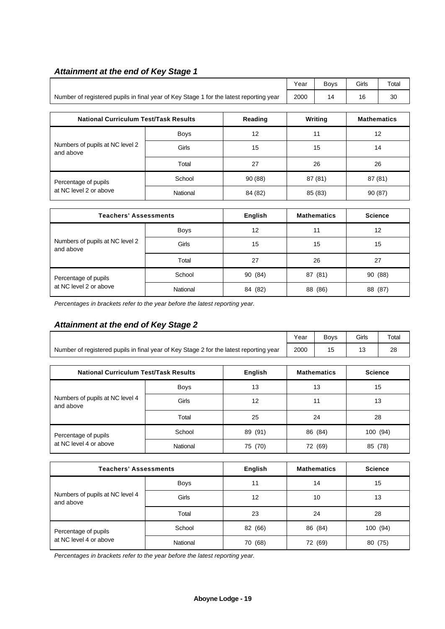## *Attainment at the end of Key Stage 1*

|                                                                                        | Year | Bovs | Girls | Total |
|----------------------------------------------------------------------------------------|------|------|-------|-------|
| Number of registered pupils in final year of Key Stage 1 for the latest reporting year | 2000 |      |       | 30    |

| <b>National Curriculum Test/Task Results</b>   |             | Reading | Writing | <b>Mathematics</b> |
|------------------------------------------------|-------------|---------|---------|--------------------|
| Numbers of pupils at NC level 2<br>and above   | <b>Boys</b> | 12      | 11      | 12                 |
|                                                | Girls       | 15      | 15      | 14                 |
|                                                | Total       | 27      | 26      | 26                 |
| Percentage of pupils<br>at NC level 2 or above | School      | 90(88)  | 87 (81) | 87 (81)            |
|                                                | National    | 84 (82) | 85 (83) | 90(87)             |

| <b>Teachers' Assessments</b>                   |             | English | <b>Mathematics</b> | <b>Science</b> |
|------------------------------------------------|-------------|---------|--------------------|----------------|
| Numbers of pupils at NC level 2<br>and above   | <b>Boys</b> | 12      | 11                 | 12             |
|                                                | Girls       | 15      | 15                 | 15             |
|                                                | Total       | 27      | 26                 | 27             |
| Percentage of pupils<br>at NC level 2 or above | School      | 90 (84) | 87 (81)            | 90 (88)        |
|                                                | National    | 84 (82) | 88 (86)            | 88 (87)        |

*Percentages in brackets refer to the year before the latest reporting year.*

# *Attainment at the end of Key Stage 2*

|                                                                                        | Year     | <b>Boys</b>        | Girls          | Total |          |    |
|----------------------------------------------------------------------------------------|----------|--------------------|----------------|-------|----------|----|
| Number of registered pupils in final year of Key Stage 2 for the latest reporting year | 2000     | 15                 | 13             | 28    |          |    |
| <b>National Curriculum Test/Task Results</b>                                           |          | <b>Mathematics</b> | <b>Science</b> |       |          |    |
|                                                                                        | Boys     | 13                 |                | 13    |          | 15 |
| Numbers of pupils at NC level 4<br>and above                                           | Girls    | 12                 | 11             |       | 13       |    |
|                                                                                        | Total    | 25                 |                | 24    |          | 28 |
| Percentage of pupils                                                                   | School   | 89 (91)            | 86 (84)        |       | 100 (94) |    |
| at NC level 4 or above                                                                 | National | 75 (70)            | 72 (69)        |       | 85 (78)  |    |
|                                                                                        |          |                    |                |       |          |    |

| <b>Teachers' Assessments</b>                 |             | English    | <b>Mathematics</b> | <b>Science</b> |
|----------------------------------------------|-------------|------------|--------------------|----------------|
|                                              | <b>Boys</b> | 11         | 14                 | 15             |
| Numbers of pupils at NC level 4<br>and above | Girls       | 12         | 10                 | 13             |
|                                              | Total       | 23         | 24                 | 28             |
| Percentage of pupils                         | School      | (66)<br>82 | 86 (84)            | 100(94)        |
| at NC level 4 or above                       | National    | (68)<br>70 | 72 (69)            | (75)<br>80     |

*Percentages in brackets refer to the year before the latest reporting year.*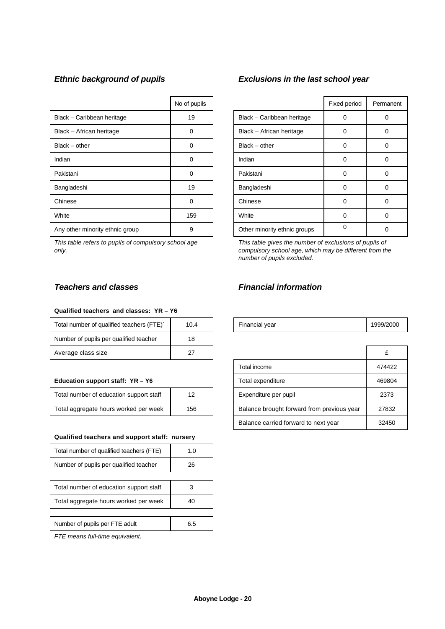|                                 | No of pupils |                              | Fixed period | Perma    |
|---------------------------------|--------------|------------------------------|--------------|----------|
| Black - Caribbean heritage      | 19           | Black - Caribbean heritage   | 0            | 0        |
| Black - African heritage        | 0            | Black - African heritage     | 0            | 0        |
| $Black - other$                 | 0            | $Black - other$              | 0            | 0        |
| Indian                          | 0            | Indian                       | 0            | 0        |
| Pakistani                       | 0            | Pakistani                    | 0            | $\Omega$ |
| Bangladeshi                     | 19           | Bangladeshi                  | 0            | 0        |
| Chinese                         | $\Omega$     | Chinese                      | 0            | 0        |
| White                           | 159          | White                        | $\Omega$     | 0        |
| Any other minority ethnic group | 9            | Other minority ethnic groups | 0            | 0        |

*This table refers to pupils of compulsory school age only.*

# *Ethnic background of pupils Exclusions in the last school year*

| No of pupils |                              | Fixed period | Permanent |
|--------------|------------------------------|--------------|-----------|
| 19           | Black - Caribbean heritage   | 0            |           |
| 0            | Black - African heritage     | 0            | O         |
| n            | $Black - other$              | 0            | 0         |
| 0            | Indian                       | 0            |           |
| ი            | Pakistani                    | 0            | Ω         |
| 19           | Bangladeshi                  | 0            | 0         |
| 0            | Chinese                      | 0            | 0         |
| 159          | White                        | 0            | ŋ         |
| 9            | Other minority ethnic groups | $\Omega$     |           |

*This table gives the number of exclusions of pupils of compulsory school age, which may be different from the number of pupils excluded.*

#### **Qualified teachers and classes: YR – Y6**

| Total number of qualified teachers (FTE) | 10.4 | Financial year | 1999/2 |
|------------------------------------------|------|----------------|--------|
| Number of pupils per qualified teacher   | 18   |                |        |
| Average class size                       | 27   |                |        |

#### Education support staff: YR - Y6

| Total number of education support staff | 12  |  |
|-----------------------------------------|-----|--|
| Total aggregate hours worked per week   | 156 |  |

#### **Qualified teachers and support staff: nursery**

| Total number of qualified teachers (FTE) | 1.0 |
|------------------------------------------|-----|
| Number of pupils per qualified teacher   | 26  |
|                                          |     |
| Total number of education support staff  |     |
| Total aggregate hours worked per week    | 40  |
|                                          |     |
| Number of pupils per FTE adult           | 6.5 |

*FTE means full-time equivalent.*

### *Teachers and classes Financial information*

| Total number of qualified teachers ( | $\Omega$ | Financial vear | 2000 |
|--------------------------------------|----------|----------------|------|
|--------------------------------------|----------|----------------|------|

| Average class size                      | 27  |                                            | £      |
|-----------------------------------------|-----|--------------------------------------------|--------|
|                                         |     | Total income                               | 474422 |
| Education support staff: YR - Y6        |     | Total expenditure                          | 469804 |
| Total number of education support staff | 12  | Expenditure per pupil                      | 2373   |
| Total aggregate hours worked per week   | 156 | Balance brought forward from previous year | 27832  |
|                                         |     | Balance carried forward to next year       | 32450  |